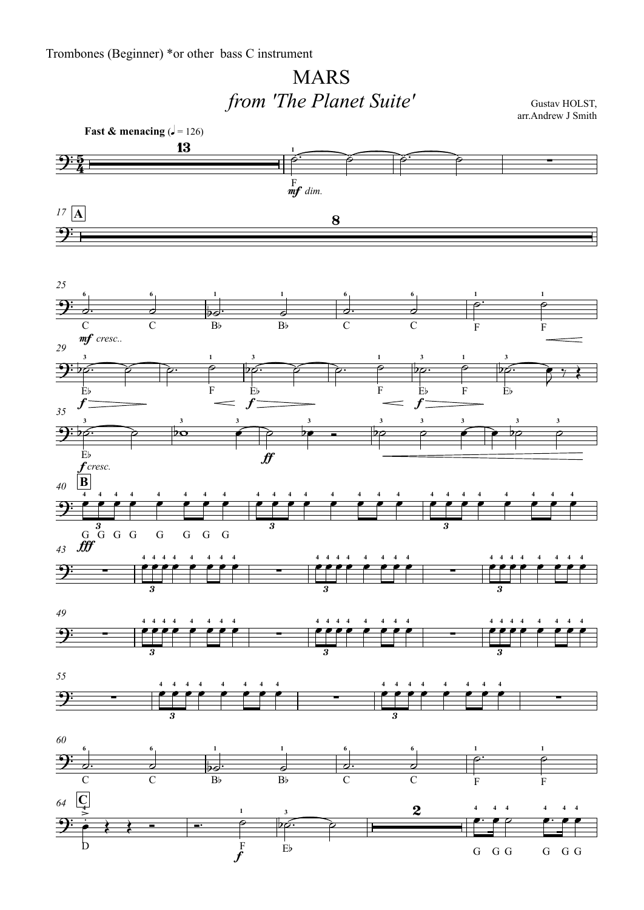## MARS*from 'The Planet Suite'*

Gustav HOLST, arr.Andrew J Smith